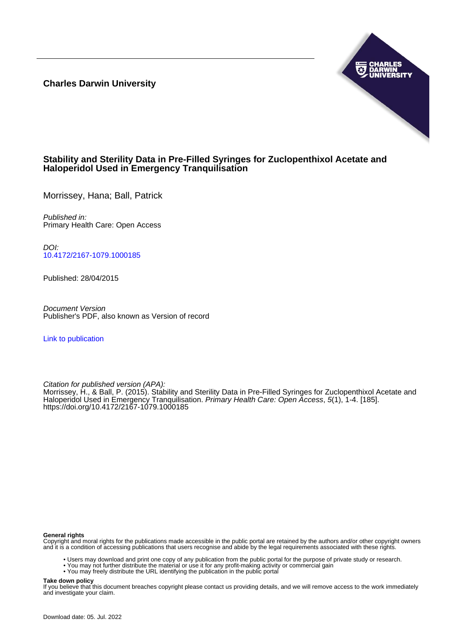**Charles Darwin University**



## **Stability and Sterility Data in Pre-Filled Syringes for Zuclopenthixol Acetate and Haloperidol Used in Emergency Tranquilisation**

Morrissey, Hana; Ball, Patrick

Published in: Primary Health Care: Open Access

DOI: [10.4172/2167-1079.1000185](https://doi.org/10.4172/2167-1079.1000185)

Published: 28/04/2015

Document Version Publisher's PDF, also known as Version of record

[Link to publication](https://researchers.cdu.edu.au/en/publications/28366848-20fc-4648-976d-18ad204e4342)

Citation for published version (APA):

Morrissey, H., & Ball, P. (2015). Stability and Sterility Data in Pre-Filled Syringes for Zuclopenthixol Acetate and Haloperidol Used in Emergency Tranquilisation. Primary Health Care: Open Access, 5(1), 1-4. [185]. <https://doi.org/10.4172/2167-1079.1000185>

#### **General rights**

Copyright and moral rights for the publications made accessible in the public portal are retained by the authors and/or other copyright owners and it is a condition of accessing publications that users recognise and abide by the legal requirements associated with these rights.

- Users may download and print one copy of any publication from the public portal for the purpose of private study or research.
- You may not further distribute the material or use it for any profit-making activity or commercial gain
- You may freely distribute the URL identifying the publication in the public portal

#### **Take down policy**

If you believe that this document breaches copyright please contact us providing details, and we will remove access to the work immediately and investigate your claim.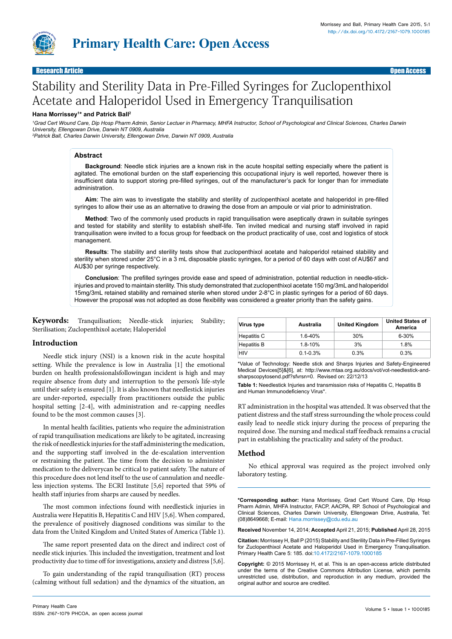

Research Article Open Access

# Stability and Sterility Data in Pre-Filled Syringes for Zuclopenthixol Acetate and Haloperidol Used in Emergency Tranquilisation

## **Hana Morrissey1 \* and Patrick Ball2**

*1 Grad Cert Wound Care, Dip Hosp Pharm Admin, Senior Lectuer in Pharmacy, MHFA Instructor, School of Psychological and Clinical Sciences, Charles Darwin University, Ellengowan Drive, Darwin NT 0909, Australia*

*2 Patrick Ball, Charles Darwin University, Ellengowan Drive, Darwin NT 0909, Australia*

## **Abstract**

**Background**: Needle stick injuries are a known risk in the acute hospital setting especially where the patient is agitated. The emotional burden on the staff experiencing this occupational injury is well reported, however there is insufficient data to support storing pre-filled syringes, out of the manufacturer's pack for longer than for immediate administration.

**Aim**: The aim was to investigate the stability and sterility of zuclopenthixol acetate and haloperidol in pre-filled syringes to allow their use as an alternative to drawing the dose from an ampoule or vial prior to administration.

**Method**: Two of the commonly used products in rapid tranquilisation were aseptically drawn in suitable syringes and tested for stability and sterility to establish shelf-life. Ten invited medical and nursing staff involved in rapid tranquilisation were invited to a focus group for feedback on the product practicality of use, cost and logistics of stock management.

**Results**: The stability and sterility tests show that zuclopenthixol acetate and haloperidol retained stability and sterility when stored under 25°C in a 3 mL disposable plastic syringes, for a period of 60 days with cost of AU\$67 and AU\$30 per syringe respectively.

**Conclusion**: The prefilled syringes provide ease and speed of administration, potential reduction in needle-stickinjuries and proved to maintain sterility. This study demonstrated that zuclopenthixol acetate 150 mg/3mL and haloperidol 15mg/3mL retained stability and remained sterile when stored under 2-8°C in plastic syringes for a period of 60 days. However the proposal was not adopted as dose flexibility was considered a greater priority than the safety gains.

**Keywords:** Tranquilisation; Needle-stick injuries; Stability; Sterilisation; Zuclopenthixol acetate; Haloperidol

## **Introduction**

Needle stick injury (NSI) is a known risk in the acute hospital setting. While the prevalence is low in Australia [1] the emotional burden on health professionalsfollowingan incident is high and may require absence from duty and interruption to the person's life-style until their safety is ensured [1]. It is also known that needlestick injuries are under-reported, especially from practitioners outside the public hospital setting [2-4], with administration and re-capping needles found to be the most common causes [3].

In mental health facilities, patients who require the administration of rapid tranquilisation medications are likely to be agitated, increasing the risk of needlestick injuries for the staff administering the medication, and the supporting staff involved in the de-escalation intervention or restraining the patient. The time from the decision to administer medication to the deliverycan be critical to patient safety. The nature of this procedure does not lend itself to the use of cannulation and needleless injection systems. The ECRI Institute [5,6] reported that 59% of health staff injuries from sharps are caused by needles.

The most common infections found with needlestick injuries in Australia were Hepatitis B, Hepatitis C and HIV [5,6]. When compared, the prevalence of positively diagnosed conditions was similar to the data from the United Kingdom and United States of America (Table 1).

The same report presented data on the direct and indirect cost of needle stick injuries. This included the investigation, treatment and lost productivity due to time off for investigations, anxiety and distress [5,6].

To gain understanding of the rapid tranquilisation (RT) process (calming without full sedation) and the dynamics of the situation, an

| Primary Health Care                           | Volume 5 · Issue 1 · 1000185 |
|-----------------------------------------------|------------------------------|
| ISSN: 2167-1079 PHCOA, an open access journal |                              |

| <b>Virus type</b>  | Australia    | <b>United Kingdom</b> | <b>United States of</b><br>America |
|--------------------|--------------|-----------------------|------------------------------------|
| Hepatitis C        | $1.6 - 40%$  | 30%                   | $6 - 30%$                          |
| <b>Hepatitis B</b> | $1.8 - 10%$  | 3%                    | 1.8%                               |
| <b>HIV</b>         | $0.1 - 0.3%$ | 0.3%                  | 0.3%                               |

\*Value of Technology: Needle stick and Sharps Injuries and Safety-Engineered Medical Devices[5]&[6], at: [http://www.mtaa.org.au/docs/vot/vot-needlestick-and](http://www.mtaa.org.au/docs/vot/vot-needlestick-and-sharpscopytosend.pdf?sfvrsn=0)[sharpscopytosend.pdf?sfvrsn=0](http://www.mtaa.org.au/docs/vot/vot-needlestick-and-sharpscopytosend.pdf?sfvrsn=0). Revised on: 22/12/13

**Table 1:** Needlestick Injuries and transmission risks of Hepatitis C, Hepatitis B and Human Immunodeficiency Virus\*.

RT administration in the hospital was attended. It was observed that the patient distress and the staff stress surrounding the whole process could easily lead to needle stick injury during the process of preparing the required dose. The nursing and medical staff feedback remains a crucial part in establishing the practicality and safety of the product.

## **Method**

No ethical approval was required as the project involved only laboratory testing.

**\*Corresponding author:** Hana Morrissey, Grad Cert Wound Care, Dip Hosp Pharm Admin, MHFA Instructor, FACP, AACPA, RP. School of Psychological and Clinical Sciences, Charles Darwin University, Ellengowan Drive, Australia, Tel: (08)8649668; E-mail: Hana.morrissey@cdu.edu.au

**Received** November 14, 2014; **Accepted** April 21, 2015; **Published** April 28, 2015

**Citation:** Morrissey H, Ball P (2015) Stability and Sterility Data in Pre-Filled Syringes for Zuclopenthixol Acetate and Haloperidol Used in Emergency Tranquilisation. Primary Health Care 5: 185. doi[:10.4172/2167-1079.1000185](http://dx.doi.org/10.4172/2167-1079.1000185)

**Copyright:** © 2015 Morrissey H, et al. This is an open-access article distributed under the terms of the Creative Commons Attribution License, which permits unrestricted use, distribution, and reproduction in any medium, provided the original author and source are credited.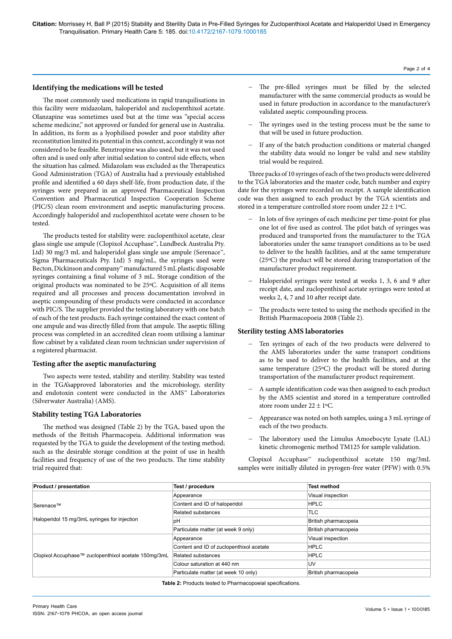#### **Identifying the medications will be tested**

The most commonly used medications in rapid tranquilisations in this facility were midazolam, haloperidol and zuclopenthixol acetate. Olanzapine was sometimes used but at the time was "special access scheme medicine," not approved or funded for general use in Australia. In addition, its form as a lyophilised powder and poor stability after reconstitution limited its potential in this context, accordingly it was not considered to be feasible. Benztropine was also used, but it was not used often and is used only after initial sedation to control side effects, when the situation has calmed. Midazolam was excluded as the Therapeutics Good Administration (TGA) of Australia had a previously established profile and identified a 60 days shelf-life, from production date, if the syringes were prepared in an approved Pharmaceutical Inspection Convention and Pharmaceutical Inspection Cooperation Scheme (PIC/S) clean room environment and aseptic manufacturing process. Accordingly haloperidol and zuclopenthixol acetate were chosen to be tested.

The products tested for stability were: zuclopenthixol acetate, clear glass single use ampule (Clopixol Accuphase™, Lundbeck Australia Pty. Ltd) 30 mg/3 mL and haloperidol glass single use ampule (Serenace™, Sigma Pharmaceuticals Pty. Ltd) 5 mg/mL, the syringes used were Becton, Dickinson and company™ manufactured 5 mL plastic disposable syringes containing a final volume of 3 mL. Storage condition of the original products was nominated to be 25ºC. Acquisition of all items required and all processes and process documentation involved in aseptic compounding of these products were conducted in accordance with PIC/S. The supplier provided the testing laboratory with one batch of each of the test products. Each syringe contained the exact content of one ampule and was directly filled from that ampule. The aseptic filling process was completed in an accredited clean room utilising a laminar flow cabinet by a validated clean room technician under supervision of a registered pharmacist.

#### **Testing after the aseptic manufacturing**

Two aspects were tested, stability and sterility. Stability was tested in the TGA'sapproved laboratories and the microbiology, sterility and endotoxin content were conducted in the AMS™ Laboratories (Silverwater Australia) (AMS).

#### **Stability testing TGA Laboratories**

The method was designed (Table 2) by the TGA, based upon the methods of the British Pharmacopeia. Additional information was requested by the TGA to guide the development of the testing method; such as the desirable storage condition at the point of use in health facilities and frequency of use of the two products. The time stability trial required that:

− The pre-filled syringes must be filled by the selected manufacturer with the same commercial products as would be used in future production in accordance to the manufacturer's validated aseptic compounding process.

Page 2 of 4

- The syringes used in the testing process must be the same to that will be used in future production.
- If any of the batch production conditions or material changed the stability data would no longer be valid and new stability trial would be required.

Three packs of 10 syringes of each of the two products were delivered to the TGA laboratories and the master code, batch number and expiry date for the syringes were recorded on receipt. A sample identification code was then assigned to each product by the TGA scientists and stored in a temperature controlled store room under  $22 \pm 1$ °C.

- In lots of five syringes of each medicine per time-point for plus one lot of five used as control. The pilot batch of syringes was produced and transported from the manufacturer to the TGA laboratories under the same transport conditions as to be used to deliver to the health facilities, and at the same temperature (25ºC) the product will be stored during transportation of the manufacturer product requirement.
- Haloperidol syringes were tested at weeks 1, 3, 6 and 9 after receipt date, and zuclopenthixol acetate syringes were tested at weeks 2, 4, 7 and 10 after receipt date.
- The products were tested to using the methods specified in the British Pharmacopoeia 2008 (Table 2).

#### **Sterility testing AMS laboratories**

- Ten syringes of each of the two products were delivered to the AMS laboratories under the same transport conditions as to be used to deliver to the health facilities, and at the same temperature (25ºC) the product will be stored during transportation of the manufacturer product requirement.
- A sample identification code was then assigned to each product by the AMS scientist and stored in a temperature controlled store room under  $22 \pm 1$ °C.
- Appearance was noted on both samples, using a 3 mL syringe of each of the two products.
- The laboratory used the Limulus Amoebocyte Lysate (LAL) kinetic chromogenic method TM125 for sample validation.

Clopixol Accuphase™ zuclopenthixol acetate 150 mg/3mL samples were initially diluted in pyrogen-free water (PFW) with 0.5%

| <b>Product / presentation</b>                        | Test / procedure                         | <b>Test method</b>   |
|------------------------------------------------------|------------------------------------------|----------------------|
|                                                      | Appearance                               | Visual inspection    |
| Serenace™                                            | Content and ID of haloperidol            | <b>HPLC</b>          |
|                                                      | <b>Related substances</b>                | <b>TLC</b>           |
| Haloperidol 15 mg/3mL syringes for injection         | pH                                       | British pharmacopeia |
|                                                      | Particulate matter (at week 9 only)      | British pharmacopeia |
|                                                      | Appearance                               | Visual inspection    |
|                                                      | Content and ID of zuclopenthixol acetate | <b>HPLC</b>          |
| Clopixol Accuphase™ zuclopenthixol acetate 150mq/3mL | Related substances                       | <b>HPLC</b>          |
|                                                      | Colour saturation at 440 nm              | UV                   |
|                                                      | Particulate matter (at week 10 only)     | British pharmacopeia |

**Table 2:** Products tested to Pharmacopoeial specifications.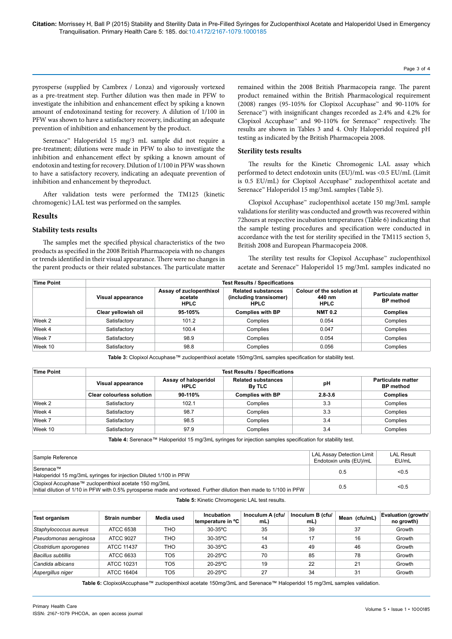pyrosperse (supplied by Cambrex / Lonza) and vigorously vortexed as a pre-treatment step. Further dilution was then made in PFW to investigate the inhibition and enhancement effect by spiking a known amount of endotoxinand testing for recovery. A dilution of 1/100 in PFW was shown to have a satisfactory recovery, indicating an adequate prevention of inhibition and enhancement by the product.

Serenace™ Haloperidol 15 mg/3 mL sample did not require a pre-treatment; dilutions were made in PFW to also to investigate the inhibition and enhancement effect by spiking a known amount of endotoxin and testing for recovery. Dilution of 1/100 in PFW was shown to have a satisfactory recovery, indicating an adequate prevention of inhibition and enhancement by theproduct.

After validation tests were performed the TM125 (kinetic chromogenic) LAL test was performed on the samples.

## **Results**

## **Stability tests results**

The samples met the specified physical characteristics of the two products as specified in the 2008 British Pharmacopeia with no changes or trends identified in their visual appearance. There were no changes in the parent products or their related substances. The particulate matter

remained within the 2008 British Pharmacopeia range. The parent product remained within the British Pharmacological requirement (2008) ranges (95-105% for Clopixol Accuphase™ and 90-110% for Serenace<sup>™</sup>) with insignificant changes recorded as 2.4% and 4.2% for Clopixol Accuphase™ and 90-110% for Serenace™ respectively. The results are shown in Tables 3 and 4. Only Haloperidol required pH testing as indicated by the British Pharmacopeia 2008.

## **Sterility tests results**

The results for the Kinetic Chromogenic LAL assay which performed to detect endotoxin units (EU)/mL was <0.5 EU/mL (Limit is 0.5 EU/mL) for Clopixol Accuphase™ zuclopenthixol acetate and Serenace™ Haloperidol 15 mg/3mL samples (Table 5).

Clopixol Accuphase™ zuclopenthixol acetate 150 mg/3mL sample validations for sterility was conducted and growth was recovered within 72hours at respective incubation temperatures (Table 6) indicating that the sample testing procedures and specification were conducted in accordance with the test for sterility specified in the TM115 section 5, British 2008 and European Pharmacopeia 2008.

The sterility test results for Clopixol Accuphase™ zuclopenthixol acetate and Serenace™ Haloperidol 15 mg/3mL samples indicated no

| <b>Time Point</b> | <b>Test Results / Specifications</b> |                                                                                                                          |                         |                                                    |                                               |  |
|-------------------|--------------------------------------|--------------------------------------------------------------------------------------------------------------------------|-------------------------|----------------------------------------------------|-----------------------------------------------|--|
|                   | Visual appearance                    | <b>Related substances</b><br>Assay of zuclopenthixol<br>(including transisomer)<br>acetate<br><b>HPLC</b><br><b>HPLC</b> |                         | Colour of the solution at<br>440 nm<br><b>HPLC</b> | <b>Particulate matter</b><br><b>BP</b> method |  |
|                   | Clear yellowish oil                  | 95-105%                                                                                                                  | <b>Complies with BP</b> | <b>NMT 0.2</b>                                     | <b>Complies</b>                               |  |
| Week 2            | Satisfactory                         | 101.2                                                                                                                    | Complies                | 0.054                                              | Complies                                      |  |
| Week 4            | Satisfactory                         | 100.4                                                                                                                    | Complies                | 0.047                                              | Complies                                      |  |
| Week 7            | Satisfactory                         | 98.9                                                                                                                     | Complies                | 0.054                                              | Complies                                      |  |
| Week 10           | Satisfactory                         | 98.8                                                                                                                     | Complies                | 0.056                                              | Complies                                      |  |

**Table 3:** Clopixol Accuphase™ zuclopenthixol acetate 150mg/3mL samples specification for stability test.

| <b>Time Point</b> | <b>Test Results / Specifications</b> |                                     |                                     |             |                                        |  |  |
|-------------------|--------------------------------------|-------------------------------------|-------------------------------------|-------------|----------------------------------------|--|--|
|                   | Visual appearance                    | Assay of haloperidol<br><b>HPLC</b> | <b>Related substances</b><br>By TLC | рH          | Particulate matter<br><b>BP</b> method |  |  |
|                   | <b>Clear colourless solution</b>     | 90-110%                             | <b>Complies with BP</b>             | $2.8 - 3.6$ | <b>Complies</b>                        |  |  |
| Week 2            | Satisfactory                         | 102.1                               | Complies                            | 3.3         | Complies                               |  |  |
| Week 4            | Satisfactory                         | 98.7                                | Complies                            | 3.3         | Complies                               |  |  |
| Week 7            | Satisfactory                         | 98.5                                | Complies                            | 3.4         | Complies                               |  |  |
| Week 10           | Satisfactory                         | 97.9                                | Complies                            | 3.4         | Complies                               |  |  |

**Table 4:** Serenace™ Haloperidol 15 mg/3mL syringes for injection samples specification for stability test.

| Sample Reference                                                                                                                                                            | LAL Assay Detection Limit<br>Endotoxin units (EU)/mL | <b>LAL Result</b><br>EU/mL |
|-----------------------------------------------------------------------------------------------------------------------------------------------------------------------------|------------------------------------------------------|----------------------------|
| Serenace™<br>Haloperidol 15 mg/3mL syringes for injection Diluted 1/100 in PFW                                                                                              | 0.5                                                  | < 0.5                      |
| Clopixol Accuphase™ zuclopenthixol acetate 150 mg/3mL<br>Initial dilution of 1/10 in PFW with 0.5% pyrosperse made and vortexed. Further dilution then made to 1/100 in PFW | 0.5                                                  | < 0.5                      |

**Table 5:** Kinetic Chromogenic LAL test results.

| <b>Test organism</b>      | Strain number | Media used      | Incubation<br><b>temperature in °C</b> | Inoculum A (cfu/<br>mL) | Inoculum B (cfu/<br>mL) | Mean (cfu/mL) | <b>Evaluation (growth/</b><br>no growth) |
|---------------------------|---------------|-----------------|----------------------------------------|-------------------------|-------------------------|---------------|------------------------------------------|
| Staphylococcus aureus     | ATCC 6538     | THO             | $30-35$ °C                             | 35                      | 39                      | 37            | Growth                                   |
| Pseudomonas aeruginosa    | ATCC 9027     | THO.            | $30-35$ °C                             | 14                      | 17                      | 16            | Growth                                   |
| Clostridium sporogenes    | ATCC 11437    | THO             | $30-35$ °C                             | 43                      | 49                      | 46            | Growth                                   |
| <b>Bacillus subtillis</b> | ATCC 6633     | TO <sub>5</sub> | $20-25$ °C                             | 70                      | 85                      | 78            | Growth                                   |
| Candida albicans          | ATCC 10231    | TO5             | $20-25$ °C                             | 19                      | 22                      | 21            | Growth                                   |
| Aspergillus niger         | ATCC 16404    | TO <sub>5</sub> | $20-25$ °C                             | 27                      | 34                      | 31            | Growth                                   |

**Table 6:** ClopixolAccuphase™ zuclopenthixol acetate 150mg/3mL and Serenace™ Haloperidol 15 mg/3mL samples validation.